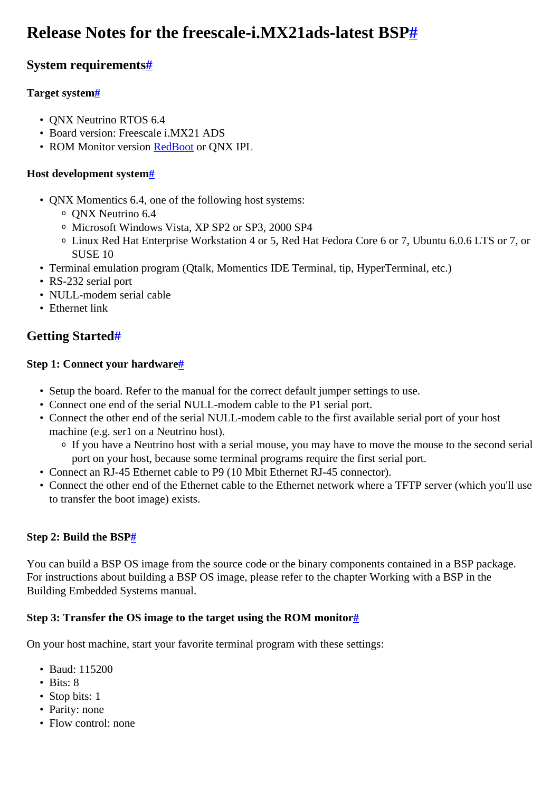# <span id="page-0-0"></span>**Release Notes for the freescale-i.MX21ads-latest BS[P#](#page-0-0)**

### <span id="page-0-1"></span>**System requirement[s#](#page-0-1)**

#### <span id="page-0-2"></span>**Target system[#](#page-0-2)**

- QNX Neutrino RTOS 6.4
- Board version: Freescale i.MX21 ADS
- ROM Monitor version [RedBoot](http://community.qnx.com/sf/wiki/do/createPage/projects.bsp/wiki?pageName=RedBoot&referrerPageName=Nto640_freescale_imx21_ads_release_notes) or QNX IPL

#### <span id="page-0-3"></span>**Host development syste[m#](#page-0-3)**

- QNX Momentics 6.4, one of the following host systems:
	- <sup>o</sup> QNX Neutrino 6.4
	- <sup>o</sup> Microsoft Windows Vista, XP SP2 or SP3, 2000 SP4
	- <sup>o</sup> Linux Red Hat Enterprise Workstation 4 or 5, Red Hat Fedora Core 6 or 7, Ubuntu 6.0.6 LTS or 7, or SUSE 10
- Terminal emulation program (Qtalk, Momentics IDE Terminal, tip, HyperTerminal, etc.)
- RS-232 serial port
- NULL-modem serial cable
- Ethernet link

### <span id="page-0-4"></span>**Getting Started[#](#page-0-4)**

#### <span id="page-0-5"></span>**Step 1: Connect your hardware[#](#page-0-5)**

- Setup the board. Refer to the manual for the correct default jumper settings to use.
- Connect one end of the serial NULL-modem cable to the P1 serial port.
- Connect the other end of the serial NULL-modem cable to the first available serial port of your host machine (e.g. ser1 on a Neutrino host).
	- <sup>o</sup> If you have a Neutrino host with a serial mouse, you may have to move the mouse to the second serial port on your host, because some terminal programs require the first serial port.
- Connect an RJ-45 Ethernet cable to P9 (10 Mbit Ethernet RJ-45 connector).
- Connect the other end of the Ethernet cable to the Ethernet network where a TFTP server (which you'll use to transfer the boot image) exists.

#### <span id="page-0-6"></span>**Step 2: Build the BS[P#](#page-0-6)**

You can build a BSP OS image from the source code or the binary components contained in a BSP package. For instructions about building a BSP OS image, please refer to the chapter Working with a BSP in the Building Embedded Systems manual.

#### <span id="page-0-7"></span>**Step 3: Transfer the OS image to the target using the ROM monitor[#](#page-0-7)**

On your host machine, start your favorite terminal program with these settings:

- Baud: 115200
- Bits: 8
- Stop bits: 1
- Parity: none
- Flow control: none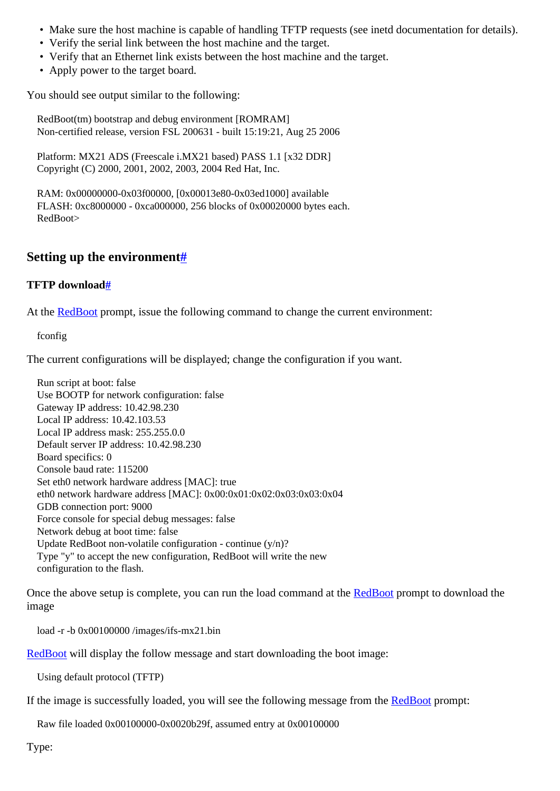- Make sure the host machine is capable of handling TFTP requests (see inetd documentation for details).
- Verify the serial link between the host machine and the target.
- Verify that an Ethernet link exists between the host machine and the target.
- Apply power to the target board.

You should see output similar to the following:

 RedBoot(tm) bootstrap and debug environment [ROMRAM] Non-certified release, version FSL 200631 - built 15:19:21, Aug 25 2006

 Platform: MX21 ADS (Freescale i.MX21 based) PASS 1.1 [x32 DDR] Copyright (C) 2000, 2001, 2002, 2003, 2004 Red Hat, Inc.

 RAM: 0x00000000-0x03f00000, [0x00013e80-0x03ed1000] available FLASH: 0xc8000000 - 0xca000000, 256 blocks of 0x00020000 bytes each. RedBoot>

#### <span id="page-1-0"></span>**Setting up the environment[#](#page-1-0)**

#### <span id="page-1-1"></span>**TFTP downloa[d#](#page-1-1)**

At the **RedBoot** prompt, issue the following command to change the current environment:

fconfig

The current configurations will be displayed; change the configuration if you want.

 Run script at boot: false Use BOOTP for network configuration: false Gateway IP address: 10.42.98.230 Local IP address: 10.42.103.53 Local IP address mask: 255.255.0.0 Default server IP address: 10.42.98.230 Board specifics: 0 Console baud rate: 115200 Set eth0 network hardware address [MAC]: true eth0 network hardware address [MAC]: 0x00:0x01:0x02:0x03:0x03:0x04 GDB connection port: 9000 Force console for special debug messages: false Network debug at boot time: false Update RedBoot non-volatile configuration - continue  $(y/n)$ ? Type "y" to accept the new configuration, RedBoot will write the new configuration to the flash.

Once the above setup is complete, you can run the load command at the [RedBoot](http://community.qnx.com/sf/wiki/do/createPage/projects.bsp/wiki?pageName=RedBoot&referrerPageName=Nto640_freescale_imx21_ads_release_notes) prompt to download the image

load -r -b 0x00100000 /images/ifs-mx21.bin

[RedBoot](http://community.qnx.com/sf/wiki/do/createPage/projects.bsp/wiki?pageName=RedBoot&referrerPageName=Nto640_freescale_imx21_ads_release_notes) will display the follow message and start downloading the boot image:

Using default protocol (TFTP)

If the image is successfully loaded, you will see the following message from the [RedBoot](http://community.qnx.com/sf/wiki/do/createPage/projects.bsp/wiki?pageName=RedBoot&referrerPageName=Nto640_freescale_imx21_ads_release_notes) prompt:

Raw file loaded 0x00100000-0x0020b29f, assumed entry at 0x00100000

Type: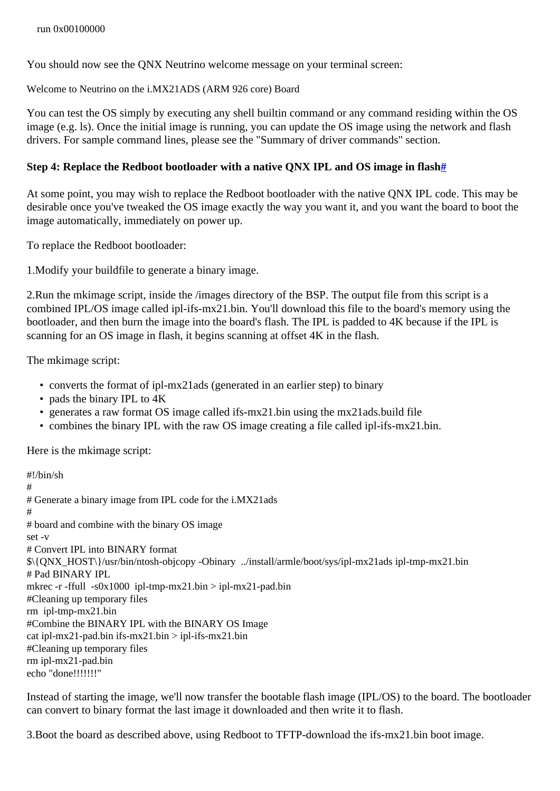You should now see the QNX Neutrino welcome message on your terminal screen:

Welcome to Neutrino on the i.MX21ADS (ARM 926 core) Board

You can test the OS simply by executing any shell builtin command or any command residing within the OS image (e.g. ls). Once the initial image is running, you can update the OS image using the network and flash drivers. For sample command lines, please see the "Summary of driver commands" section.

#### <span id="page-2-0"></span>**Step 4: Replace the Redboot bootloader with a native QNX IPL and OS image in flash[#](#page-2-0)**

At some point, you may wish to replace the Redboot bootloader with the native QNX IPL code. This may be desirable once you've tweaked the OS image exactly the way you want it, and you want the board to boot the image automatically, immediately on power up.

To replace the Redboot bootloader:

1.Modify your buildfile to generate a binary image.

2.Run the mkimage script, inside the /images directory of the BSP. The output file from this script is a combined IPL/OS image called ipl-ifs-mx21.bin. You'll download this file to the board's memory using the bootloader, and then burn the image into the board's flash. The IPL is padded to 4K because if the IPL is scanning for an OS image in flash, it begins scanning at offset 4K in the flash.

The mkimage script:

- converts the format of ipl-mx21ads (generated in an earlier step) to binary
- pads the binary IPL to  $4K$
- generates a raw format OS image called ifs-mx21.bin using the mx21ads.build file
- combines the binary IPL with the raw OS image creating a file called ipl-ifs-mx21.bin.

Here is the mkimage script:

#!/bin/sh # # Generate a binary image from IPL code for the i.MX21ads # # board and combine with the binary OS image set -v # Convert IPL into BINARY format \$\{QNX\_HOST\}/usr/bin/ntosh-objcopy -Obinary ../install/armle/boot/sys/ipl-mx21ads ipl-tmp-mx21.bin # Pad BINARY IPL mkrec -r -ffull  $-s0x1000$  ipl-tmp-mx21.bin > ipl-mx21-pad.bin #Cleaning up temporary files rm ipl-tmp-mx21.bin #Combine the BINARY IPL with the BINARY OS Image cat ipl-mx21-pad.bin ifs-mx21.bin  $>$  ipl-ifs-mx21.bin #Cleaning up temporary files rm ipl-mx21-pad.bin echo "done!!!!!!!"

Instead of starting the image, we'll now transfer the bootable flash image (IPL/OS) to the board. The bootloader can convert to binary format the last image it downloaded and then write it to flash.

3.Boot the board as described above, using Redboot to TFTP-download the ifs-mx21.bin boot image.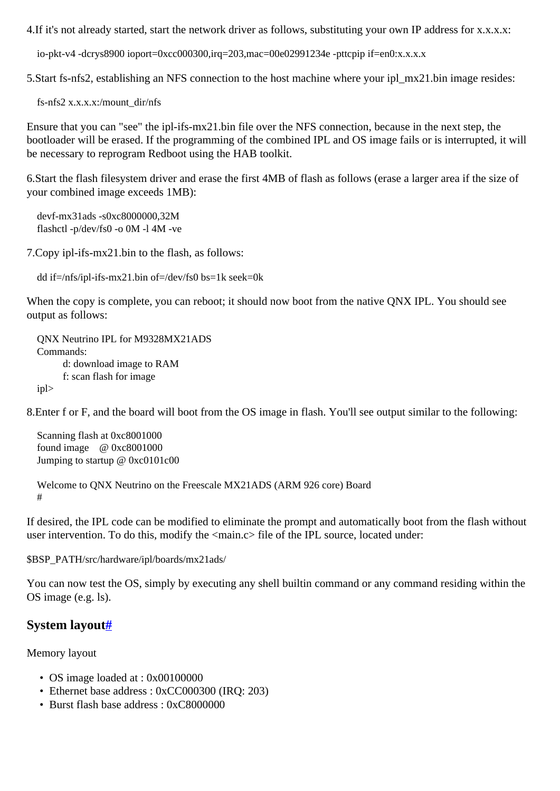4. If it's not already started, start the network driver as follows, substituting your own IP address for x.x.x.x.

io-pkt-v4 -dcrys8900 ioport=0xcc000300,irq=203,mac=00e02991234e -pttcpip if=en0:x.x.x.x.

5.Start fs-nfs2, establishing an NFS connection to the host machine where your ipl\_mx21.bin image resides:

fs-nfs2 x.x.x.x:/mount\_dir/nfs

Ensure that you can "see" the ipl-ifs-mx21.bin file over the NFS connection, because in the next step, the bootloader will be erased. If the programming of the combined IPL and OS image fails or is interrupted, it will be necessary to reprogram Redboot using the HAB toolkit.

6.Start the flash filesystem driver and erase the first 4MB of flash as follows (erase a larger area if the size of your combined image exceeds 1MB):

 devf-mx31ads -s0xc8000000,32M flashctl -p/dev/fs0 -o 0M -l 4M -ve

7.Copy ipl-ifs-mx21.bin to the flash, as follows:

dd if=/nfs/ipl-ifs-mx21.bin of=/dev/fs0 bs=1k seek=0k

When the copy is complete, you can reboot; it should now boot from the native QNX IPL. You should see output as follows:

 QNX Neutrino IPL for M9328MX21ADS Commands: d: download image to RAM f: scan flash for image ipl>

8.Enter f or F, and the board will boot from the OS image in flash. You'll see output similar to the following:

 Scanning flash at 0xc8001000 found image @ 0xc8001000 Jumping to startup @ 0xc0101c00

```
 Welcome to QNX Neutrino on the Freescale MX21ADS (ARM 926 core) Board
#
```
If desired, the IPL code can be modified to eliminate the prompt and automatically boot from the flash without user intervention. To do this, modify the  $\langle$ main.c> file of the IPL source, located under:

\$BSP\_PATH/src/hardware/ipl/boards/mx21ads/

You can now test the OS, simply by executing any shell builtin command or any command residing within the OS image (e.g. ls).

#### <span id="page-3-0"></span>**System layou[t#](#page-3-0)**

Memory layout

- OS image loaded at : 0x00100000
- Ethernet base address : 0xCC000300 (IRQ: 203)
- Burst flash base address : 0xC8000000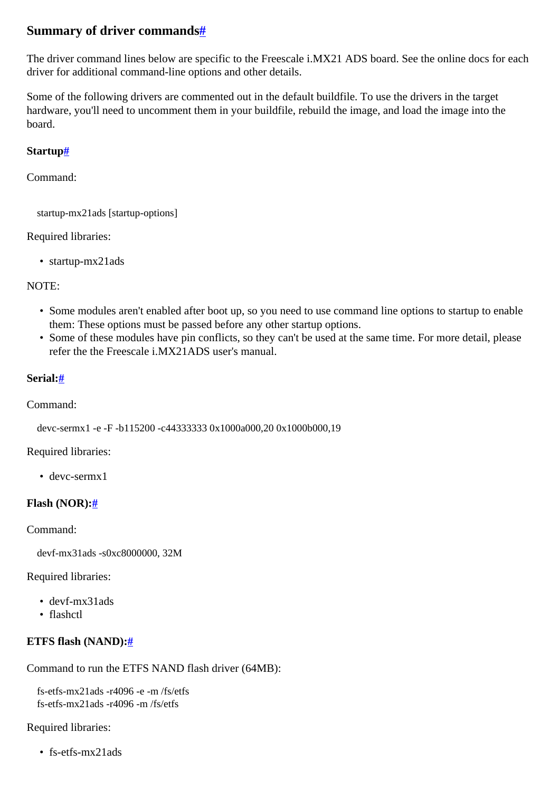### <span id="page-4-0"></span>**Summary of driver command[s#](#page-4-0)**

The driver command lines below are specific to the Freescale i.MX21 ADS board. See the online docs for each driver for additional command-line options and other details.

Some of the following drivers are commented out in the default buildfile. To use the drivers in the target hardware, you'll need to uncomment them in your buildfile, rebuild the image, and load the image into the board.

#### <span id="page-4-1"></span>**Startup[#](#page-4-1)**

Command:

startup-mx21ads [startup-options]

#### Required libraries:

• startup-mx21ads

#### NOTE:

- Some modules aren't enabled after boot up, so you need to use command line options to startup to enable them: These options must be passed before any other startup options.
- Some of these modules have pin conflicts, so they can't be used at the same time. For more detail, please refer the the Freescale i MX21ADS user's manual

#### <span id="page-4-2"></span>**Serial[:#](#page-4-2)**

#### Command:

devc-sermx1 -e -F -b115200 -c44333333 0x1000a000,20 0x1000b000,19

#### Required libraries:

• devc-sermx1

#### <span id="page-4-3"></span>**Flash (NOR)[:#](#page-4-3)**

Command:

devf-mx31ads -s0xc8000000, 32M

Required libraries:

- devf-mx31ads
- flashctl

### <span id="page-4-4"></span>**ETFS flash (NAND):[#](#page-4-4)**

Command to run the ETFS NAND flash driver (64MB):

 fs-etfs-mx21ads -r4096 -e -m /fs/etfs fs-etfs-mx21ads -r4096 -m /fs/etfs

Required libraries:

• fs-etfs-mx21ads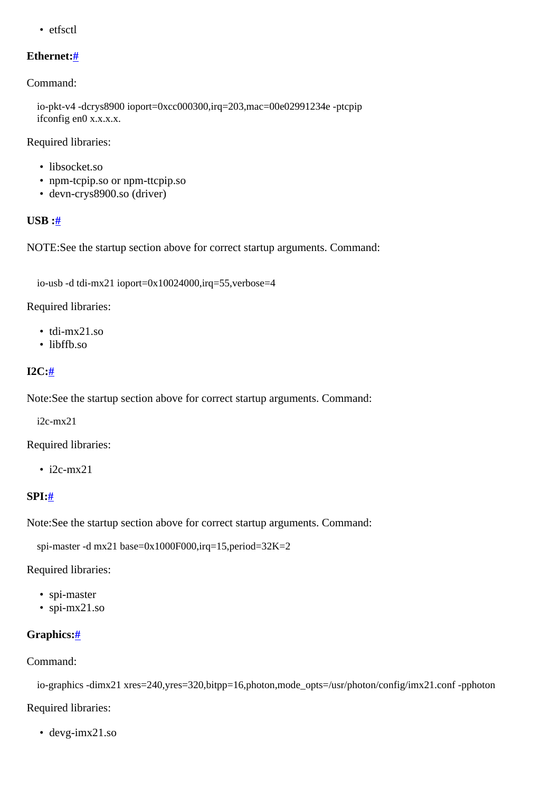• etfsctl

#### <span id="page-5-0"></span>**Ethernet:[#](#page-5-0)**

Command:

 io-pkt-v4 -dcrys8900 ioport=0xcc000300,irq=203,mac=00e02991234e -ptcpip ifconfig en0 x.x.x.x.

Required libraries:

- libsocket.so
- npm-tcpip.so or npm-ttcpip.so
- devn-crys8900.so (driver)

#### <span id="page-5-1"></span>**USB :[#](#page-5-1)**

NOTE:See the startup section above for correct startup arguments. Command:

```
 io-usb -d tdi-mx21 ioport=0x10024000,irq=55,verbose=4
```
Required libraries:

- tdi-mx21.so
- libffb.so

#### <span id="page-5-2"></span>**I2C:[#](#page-5-2)**

Note:See the startup section above for correct startup arguments. Command:

i2c-mx21

Required libraries:

 $\cdot$  i2c-mx21

#### <span id="page-5-3"></span>**SPI[:#](#page-5-3)**

Note:See the startup section above for correct startup arguments. Command:

```
 spi-master -d mx21 base=0x1000F000,irq=15,period=32K=2
```
Required libraries:

- spi-master
- spi-mx21.so

#### <span id="page-5-4"></span>**Graphics:[#](#page-5-4)**

#### Command:

io-graphics -dimx21 xres=240,yres=320,bitpp=16,photon,mode\_opts=/usr/photon/config/imx21.conf -pphoton

Required libraries:

• devg-imx21.so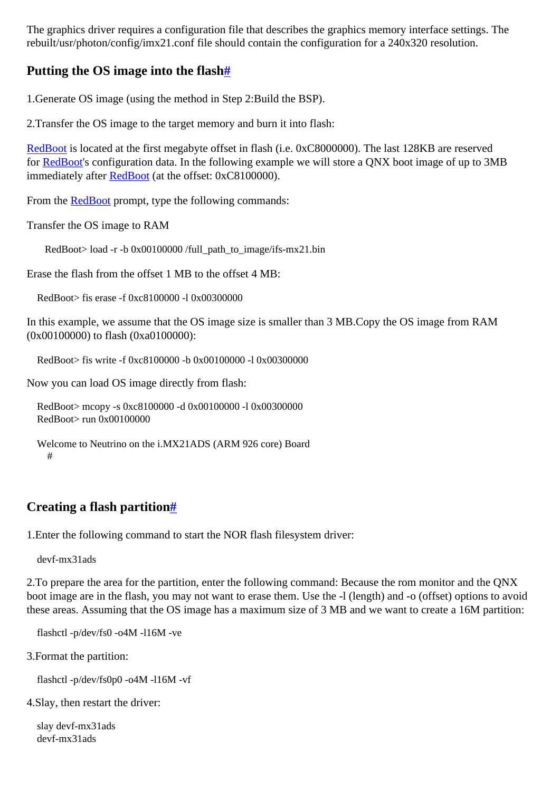The graphics driver requires a configuration file that describes the graphics memory interface settings. The rebuilt/usr/photon/config/imx21.conf file should contain the configuration for a 240x320 resolution.

### <span id="page-6-0"></span>**Putting the OS image into the flas[h#](#page-6-0)**

1.Generate OS image (using the method in Step 2:Build the BSP).

2.Transfer the OS image to the target memory and burn it into flash:

[RedBoot](http://community.qnx.com/sf/wiki/do/createPage/projects.bsp/wiki?pageName=RedBoot&referrerPageName=Nto640_freescale_imx21_ads_release_notes) is located at the first megabyte offset in flash (i.e. 0xC8000000). The last 128KB are reserved for [RedBoot](http://community.qnx.com/sf/wiki/do/createPage/projects.bsp/wiki?pageName=RedBoot&referrerPageName=Nto640_freescale_imx21_ads_release_notes)'s configuration data. In the following example we will store a QNX boot image of up to 3MB immediately after [RedBoot](http://community.qnx.com/sf/wiki/do/createPage/projects.bsp/wiki?pageName=RedBoot&referrerPageName=Nto640_freescale_imx21_ads_release_notes) (at the offset: 0xC8100000).

From the [RedBoot](http://community.qnx.com/sf/wiki/do/createPage/projects.bsp/wiki?pageName=RedBoot&referrerPageName=Nto640_freescale_imx21_ads_release_notes) prompt, type the following commands:

Transfer the OS image to RAM

RedBoot> load -r -b 0x00100000 /full\_path\_to\_image/ifs-mx21.bin

Erase the flash from the offset 1 MB to the offset 4 MB:

RedBoot> fis erase -f 0xc8100000 -l 0x00300000

In this example, we assume that the OS image size is smaller than 3 MB.Copy the OS image from RAM (0x00100000) to flash (0xa0100000):

RedBoot> fis write -f 0xc8100000 -b 0x00100000 -l 0x00300000

Now you can load OS image directly from flash:

```
 RedBoot> mcopy -s 0xc8100000 -d 0x00100000 -l 0x00300000
RedBoot> run 0x00100000
```

```
 Welcome to Neutrino on the i.MX21ADS (ARM 926 core) Board
  #
```
### <span id="page-6-1"></span>**Creating a flash partition[#](#page-6-1)**

1.Enter the following command to start the NOR flash filesystem driver:

devf-mx31ads

2.To prepare the area for the partition, enter the following command: Because the rom monitor and the QNX boot image are in the flash, you may not want to erase them. Use the -l (length) and -o (offset) options to avoid these areas. Assuming that the OS image has a maximum size of 3 MB and we want to create a 16M partition:

flashctl -p/dev/fs0 -o4M -l16M -ve

3.Format the partition:

flashctl -p/dev/fs0p0 -o4M -l16M -vf

4.Slay, then restart the driver:

 slay devf-mx31ads devf-mx31ads